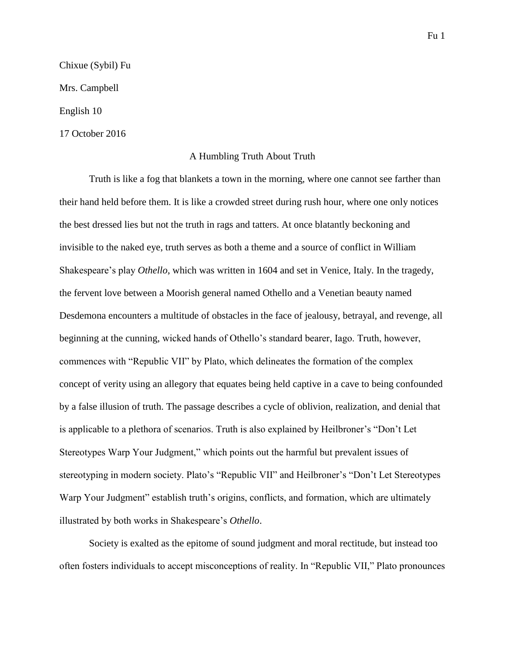Chixue (Sybil) Fu Mrs. Campbell English 10 17 October 2016

## A Humbling Truth About Truth

Truth is like a fog that blankets a town in the morning, where one cannot see farther than their hand held before them. It is like a crowded street during rush hour, where one only notices the best dressed lies but not the truth in rags and tatters. At once blatantly beckoning and invisible to the naked eye, truth serves as both a theme and a source of conflict in William Shakespeare's play *Othello*, which was written in 1604 and set in Venice, Italy. In the tragedy, the fervent love between a Moorish general named Othello and a Venetian beauty named Desdemona encounters a multitude of obstacles in the face of jealousy, betrayal, and revenge, all beginning at the cunning, wicked hands of Othello's standard bearer, Iago. Truth, however, commences with "Republic VII" by Plato, which delineates the formation of the complex concept of verity using an allegory that equates being held captive in a cave to being confounded by a false illusion of truth. The passage describes a cycle of oblivion, realization, and denial that is applicable to a plethora of scenarios. Truth is also explained by Heilbroner's "Don't Let Stereotypes Warp Your Judgment," which points out the harmful but prevalent issues of stereotyping in modern society. Plato's "Republic VII" and Heilbroner's "Don't Let Stereotypes Warp Your Judgment" establish truth's origins, conflicts, and formation, which are ultimately illustrated by both works in Shakespeare's *Othello*.

Society is exalted as the epitome of sound judgment and moral rectitude, but instead too often fosters individuals to accept misconceptions of reality. In "Republic VII," Plato pronounces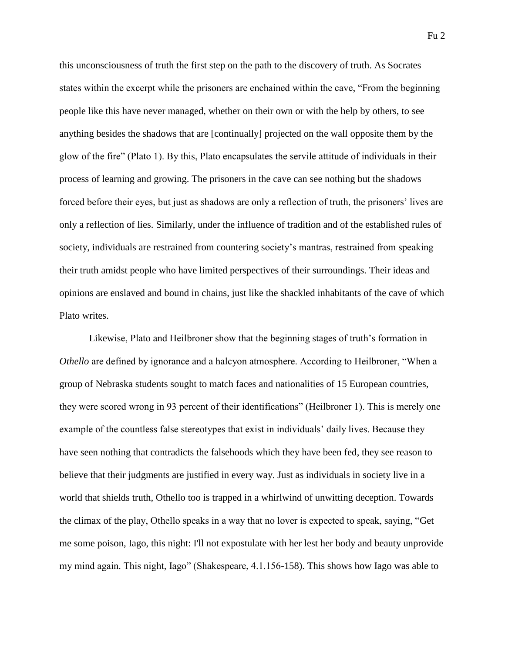this unconsciousness of truth the first step on the path to the discovery of truth. As Socrates states within the excerpt while the prisoners are enchained within the cave, "From the beginning people like this have never managed, whether on their own or with the help by others, to see anything besides the shadows that are [continually] projected on the wall opposite them by the glow of the fire" (Plato 1). By this, Plato encapsulates the servile attitude of individuals in their process of learning and growing. The prisoners in the cave can see nothing but the shadows forced before their eyes, but just as shadows are only a reflection of truth, the prisoners' lives are only a reflection of lies. Similarly, under the influence of tradition and of the established rules of society, individuals are restrained from countering society's mantras, restrained from speaking their truth amidst people who have limited perspectives of their surroundings. Their ideas and opinions are enslaved and bound in chains, just like the shackled inhabitants of the cave of which Plato writes.

Likewise, Plato and Heilbroner show that the beginning stages of truth's formation in *Othello* are defined by ignorance and a halcyon atmosphere. According to Heilbroner, "When a group of Nebraska students sought to match faces and nationalities of 15 European countries, they were scored wrong in 93 percent of their identifications" (Heilbroner 1). This is merely one example of the countless false stereotypes that exist in individuals' daily lives. Because they have seen nothing that contradicts the falsehoods which they have been fed, they see reason to believe that their judgments are justified in every way. Just as individuals in society live in a world that shields truth, Othello too is trapped in a whirlwind of unwitting deception. Towards the climax of the play, Othello speaks in a way that no lover is expected to speak, saying, "Get me some poison, Iago, this night: I'll not expostulate with her lest her body and beauty unprovide my mind again. This night, Iago" (Shakespeare, 4.1.156-158). This shows how Iago was able to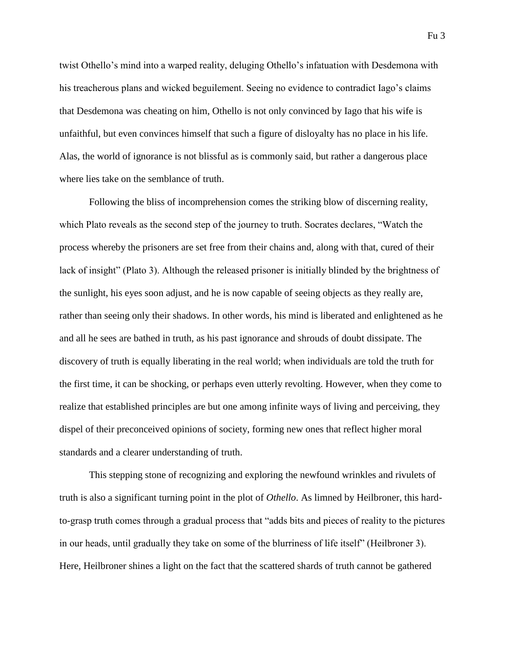twist Othello's mind into a warped reality, deluging Othello's infatuation with Desdemona with his treacherous plans and wicked beguilement. Seeing no evidence to contradict Iago's claims that Desdemona was cheating on him, Othello is not only convinced by Iago that his wife is unfaithful, but even convinces himself that such a figure of disloyalty has no place in his life. Alas, the world of ignorance is not blissful as is commonly said, but rather a dangerous place where lies take on the semblance of truth.

Following the bliss of incomprehension comes the striking blow of discerning reality, which Plato reveals as the second step of the journey to truth. Socrates declares, "Watch the process whereby the prisoners are set free from their chains and, along with that, cured of their lack of insight" (Plato 3). Although the released prisoner is initially blinded by the brightness of the sunlight, his eyes soon adjust, and he is now capable of seeing objects as they really are, rather than seeing only their shadows. In other words, his mind is liberated and enlightened as he and all he sees are bathed in truth, as his past ignorance and shrouds of doubt dissipate. The discovery of truth is equally liberating in the real world; when individuals are told the truth for the first time, it can be shocking, or perhaps even utterly revolting. However, when they come to realize that established principles are but one among infinite ways of living and perceiving, they dispel of their preconceived opinions of society, forming new ones that reflect higher moral standards and a clearer understanding of truth.

This stepping stone of recognizing and exploring the newfound wrinkles and rivulets of truth is also a significant turning point in the plot of *Othello*. As limned by Heilbroner, this hardto-grasp truth comes through a gradual process that "adds bits and pieces of reality to the pictures in our heads, until gradually they take on some of the blurriness of life itself" (Heilbroner 3). Here, Heilbroner shines a light on the fact that the scattered shards of truth cannot be gathered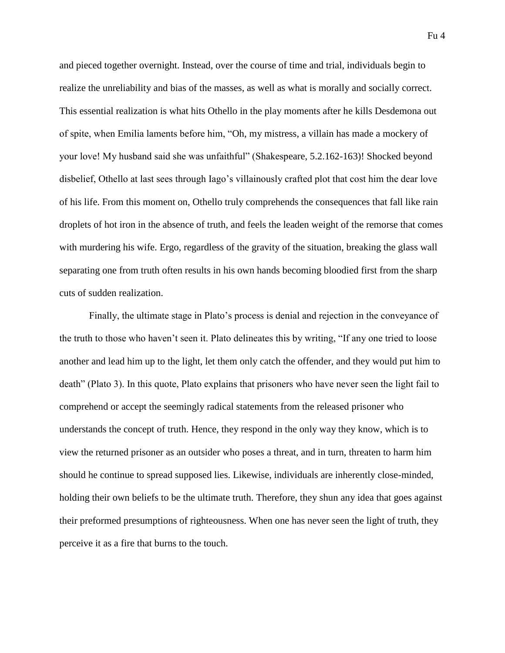and pieced together overnight. Instead, over the course of time and trial, individuals begin to realize the unreliability and bias of the masses, as well as what is morally and socially correct. This essential realization is what hits Othello in the play moments after he kills Desdemona out of spite, when Emilia laments before him, "Oh, my mistress, a villain has made a mockery of your love! My husband said she was unfaithful" (Shakespeare, 5.2.162-163)! Shocked beyond disbelief, Othello at last sees through Iago's villainously crafted plot that cost him the dear love of his life. From this moment on, Othello truly comprehends the consequences that fall like rain droplets of hot iron in the absence of truth, and feels the leaden weight of the remorse that comes with murdering his wife. Ergo, regardless of the gravity of the situation, breaking the glass wall separating one from truth often results in his own hands becoming bloodied first from the sharp cuts of sudden realization.

Finally, the ultimate stage in Plato's process is denial and rejection in the conveyance of the truth to those who haven't seen it. Plato delineates this by writing, "If any one tried to loose another and lead him up to the light, let them only catch the offender, and they would put him to death" (Plato 3). In this quote, Plato explains that prisoners who have never seen the light fail to comprehend or accept the seemingly radical statements from the released prisoner who understands the concept of truth. Hence, they respond in the only way they know, which is to view the returned prisoner as an outsider who poses a threat, and in turn, threaten to harm him should he continue to spread supposed lies. Likewise, individuals are inherently close-minded, holding their own beliefs to be the ultimate truth. Therefore, they shun any idea that goes against their preformed presumptions of righteousness. When one has never seen the light of truth, they perceive it as a fire that burns to the touch.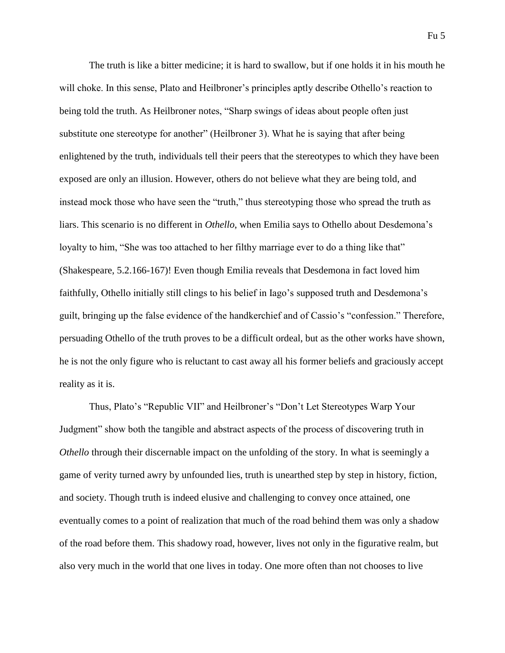The truth is like a bitter medicine; it is hard to swallow, but if one holds it in his mouth he will choke. In this sense, Plato and Heilbroner's principles aptly describe Othello's reaction to being told the truth. As Heilbroner notes, "Sharp swings of ideas about people often just substitute one stereotype for another" (Heilbroner 3). What he is saying that after being enlightened by the truth, individuals tell their peers that the stereotypes to which they have been exposed are only an illusion. However, others do not believe what they are being told, and instead mock those who have seen the "truth," thus stereotyping those who spread the truth as liars. This scenario is no different in *Othello*, when Emilia says to Othello about Desdemona's loyalty to him, "She was too attached to her filthy marriage ever to do a thing like that" (Shakespeare, 5.2.166-167)! Even though Emilia reveals that Desdemona in fact loved him faithfully, Othello initially still clings to his belief in Iago's supposed truth and Desdemona's guilt, bringing up the false evidence of the handkerchief and of Cassio's "confession." Therefore, persuading Othello of the truth proves to be a difficult ordeal, but as the other works have shown, he is not the only figure who is reluctant to cast away all his former beliefs and graciously accept reality as it is.

Thus, Plato's "Republic VII" and Heilbroner's "Don't Let Stereotypes Warp Your Judgment" show both the tangible and abstract aspects of the process of discovering truth in *Othello* through their discernable impact on the unfolding of the story. In what is seemingly a game of verity turned awry by unfounded lies, truth is unearthed step by step in history, fiction, and society. Though truth is indeed elusive and challenging to convey once attained, one eventually comes to a point of realization that much of the road behind them was only a shadow of the road before them. This shadowy road, however, lives not only in the figurative realm, but also very much in the world that one lives in today. One more often than not chooses to live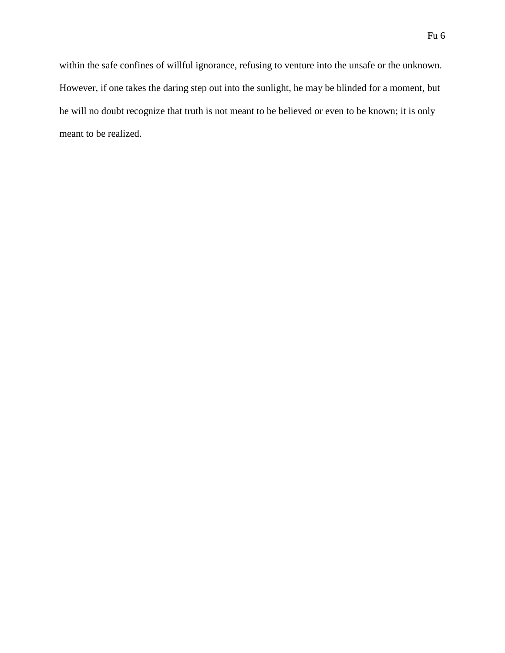within the safe confines of willful ignorance, refusing to venture into the unsafe or the unknown. However, if one takes the daring step out into the sunlight, he may be blinded for a moment, but he will no doubt recognize that truth is not meant to be believed or even to be known; it is only meant to be realized.